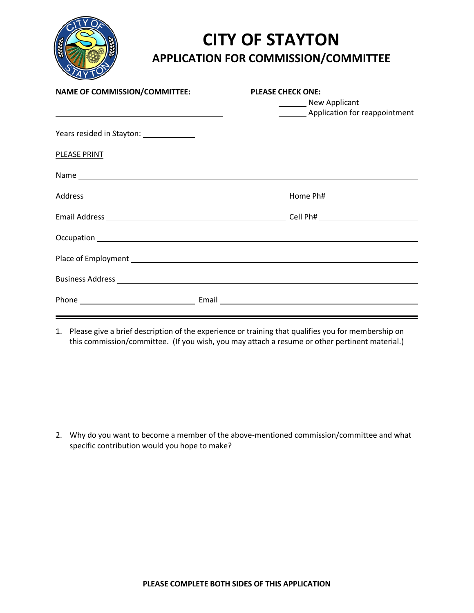

## **CITY OF STAYTON APPLICATION FOR COMMISSION/COMMITTEE**

| <b>NAME OF COMMISSION/COMMITTEE:</b>     | <b>PLEASE CHECK ONE:</b><br>New Applicant<br>Application for reappointment |
|------------------------------------------|----------------------------------------------------------------------------|
| Years resided in Stayton: ______________ |                                                                            |
| PLEASE PRINT                             |                                                                            |
|                                          |                                                                            |
|                                          |                                                                            |
|                                          |                                                                            |
|                                          |                                                                            |
|                                          |                                                                            |
|                                          |                                                                            |
|                                          |                                                                            |

1. Please give a brief description of the experience or training that qualifies you for membership on this commission/committee. (If you wish, you may attach a resume or other pertinent material.)

2. Why do you want to become a member of the above-mentioned commission/committee and what specific contribution would you hope to make?